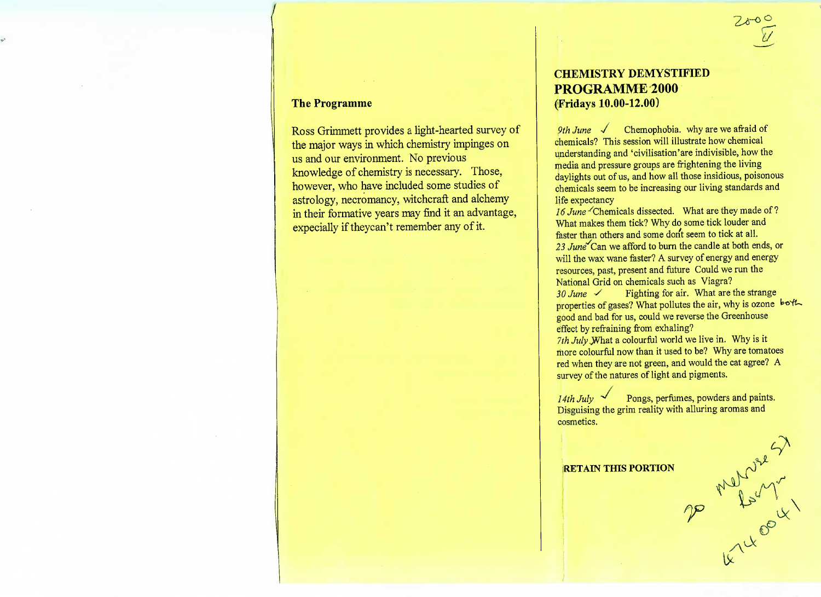#### **The Programme**

Ross Grimmett provides a light-hearted survey ofthe major ways in which chemistry impinges onus and our environment. No previous knowledge of chemistry is necessary. Those,however, who have included some studies of astrology, necromancy, witchcraft and alchemyn their formative years may find it an advantage, expecially if theycan't remember any of it.

# **CHEMISTRY DEMYSTIFIEDPROGRAMME 2000(Fridays 10.00-12.00)**

*9th June*  $\sqrt{\phantom{a}}$  Chemophobia. why are we afraid of chemicals? This session will illustrate how chemical refinitions? This session will illustrate how chemical media and pressure groups are frightening the living media and pressure groups are frightening the name dylights out of us, and how an those installows poisonous chemicals seem to be increasing our living standards and

lie expectancy<br>6 *June* Chemi What makes them tick? Why do some tick louder and faster than others and some dont seem to tick at all. aster than others and some dont seem to tick at all. will the wax wane faster? A survey of energy and energy will the wax wane faster? A survey of energy and energy resources, past, present and future Could we run thevational Grid on chemicals such as  $V = V$ iagra?

*30 June •/* Fighting for an: What are the strange properties of gases? What pollutes the air, why is ozone good and bad for us, could we reverse the Greenhouse

effect by refraining from exhamng.<br>White what a colourful world we *<i>Th July JN* hat a colour life world we live in. Why is it more colourful now than it used to be? Why are tomatoes red when they are not green, and would the cat agree. A survey of the natures of light and pigments.

*14th July \*\** Pongs, perfumes, powders and paints.Disguising the grim reality with alluring aromas andcosmetics.

 $\sigma$ 

IX

**RETAIN THIS PORTION**